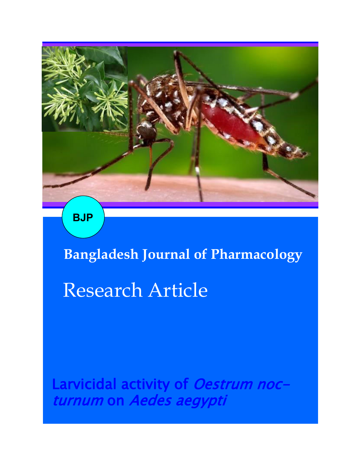

**BJP**

**Bangladesh Journal of Pharmacology** 

# Research Article

Larvicidal activity of Oestrum nocturnum on Aedes aegypti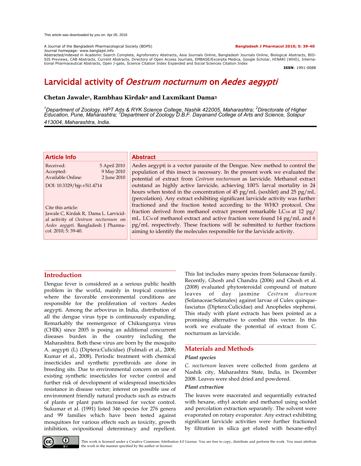#### A Journal of the Bangladesh Pharmacological Society (BDPS) **Bangladesh J Pharmacol 2010; 5: 39-40**

Journal homepage: www.banglajol.info

Abstracted/indexed in Academic Search Complete, Agroforestry Abstracts, Asia Journals Online, Bangladesh Journals Online, Biological Abstracts, BIO-<br>SIS Previews, CAB Abstracts, Current Abstracts, Directory of Open Access tional Pharmaceutical Abstracts, Open J-gate, Science Citation Index Expanded and Social Sciences Citation Index

**ISSN**: 1991-0088

## Larvicidal activity of Oestrum nocturnum on Aedes aegypti

#### **Chetan Jawale<sup>1</sup> , Rambhau Kirdak<sup>2</sup> and Laxmikant Dama<sup>3</sup>**

*<sup>1</sup>Department of Zoology, HPT Arts & RYK Science College, Nashik 422005, Maharashtra; <sup>2</sup>Directorate of Higher Education, Pune, Maharashtra; <sup>3</sup>Department of Zoology D.B.F. Dayanand College of Arts and Science, Solapur 413004, Maharashtra, India.*

#### **Article Info**

| Received:                  | 5 April 2010 |  |  |
|----------------------------|--------------|--|--|
| Accepted:                  | 9 May 2010   |  |  |
| <b>Available Online:</b>   | 2 June 2010  |  |  |
| DOI: 10.3329/bjp.v5i1.4714 |              |  |  |

Cite this article: Jawale C, Kirdak R, Dama L. Larvicidal activity of *Oestrum nocturnum* on *Aedes aegypti*. Bangladesh J Pharmacol. 2010; 5: 39-40.

#### **Abstract**

Aedes aegypti is a vector parasite of the Dengue. New method to control the population of this insect is necessary. In the present work we evaluated the potential of extract from *Cestrum nocturnum* as larvicide. Methanol extract outstand as highly active larvicide, achieving 100% larval mortality in 24 hours when tested in the concentration of 45 pg/mL (soxhlet) and 25 pg/mL (percolation). Any extract exhibiting significant larvicide activity was further fractioned and the fraction tested according to the WHO protocol. One fraction derived from methanol extract present remarkable LC100 at 12 pg/ mL. LC<sub>50</sub> of methanol extract and active fraction were found 14 pg/mL and 6 pg/mL respectively. These fractions will be submitted to further fractions aiming to identify the molecules responsible for the larvicide activity.

#### **Introduction**

Dengue fever is considered as a serious public health problem in the world, mainly in tropical countries where the favorable environmental conditions are responsible for the proliferation of vectors Aedes aegypti. Among the arbovirus in India, distribution of all the dengue virus type is continuously expanding. Remarkably the reemergence of Chikungunya virus (CHIK) since 2005 is posing an additional concurrent diseases burden in the country including the Maharashtra. Both these virus are born by the mosquito A. aegypti (L) (Diptera:Culicidae) (Fulmali et al., 2008; Kumar et al., 2008). Periodic treatment with chemical insecticides and synthetic pyrethroids are done in breeding sits. Due to environmental concern on use of existing synthetic insecticides for vector control and further risk of development of widespread insecticides resistance in disease vector; interest on possible use of environment friendly natural products such as extracts of plants or plant parts increased for vector control. Sukumar et al. (1991) listed 346 species for 276 genera and 99 families which have been tested against mosquitoes for various effects such as toxicity, growth inhibition, ovipositional determinacy and repellent.

This list includes many species from Solanaceae family. Recently, Ghosh and Chandra (2006) and Ghosh et al. (2008) evaluated phytosteroidal compound of mature leaves of day jasmine *Cestrum diurnum* (Solanaceae:Solanales) against larvae of Culex quinquefasciatus (Diptera:Culicidae) and Anopheles stephensi. This study with plant extracts has been pointed as a promising alternative to combat this vector. In this work we evaluate the potential of extract from C. nocturnum as larvicide.

### **Materials and Methods**

#### *Plant species*

*C. nocturnum* leaves were collected from gardens at Nashik city, Maharashtra State, India, in December 2008. Leaves were shed dried and powdered.

#### *Plant extraction*

The leaves were macerated and sequentially extracted with hexane, ethyl acetate and methanol using soxhlet and percolation extraction separately. The solvent were evaporated on rotary evaporator. Any extract exhibiting significant larvicide activities were further fractioned by filtration in silica get eluted with hexane-ethyl